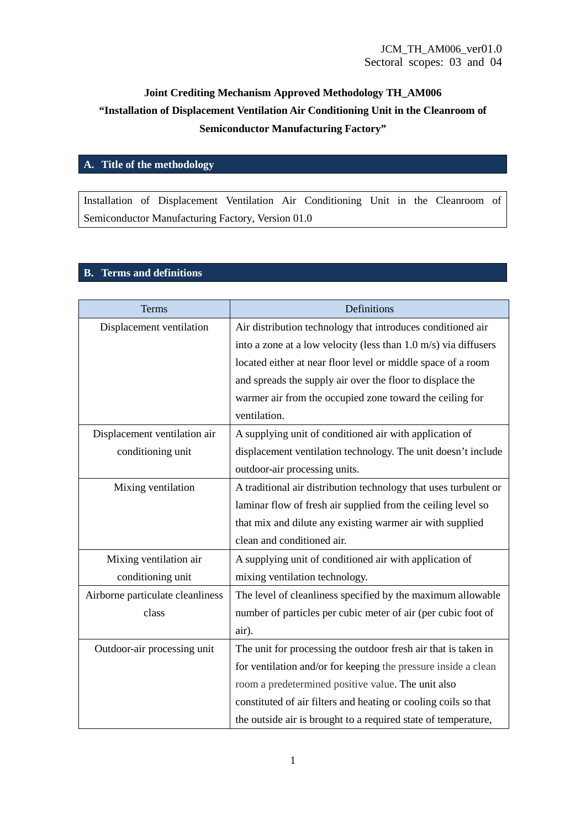# **Joint Crediting Mechanism Approved Methodology TH\_AM006 "Installation of Displacement Ventilation Air Conditioning Unit in the Cleanroom of Semiconductor Manufacturing Factory"**

## **A. Title of the methodology**

Installation of Displacement Ventilation Air Conditioning Unit in the Cleanroom of Semiconductor Manufacturing Factory, Version 01.0

#### **B. Terms and definitions**

| Terms                            | Definitions                                                                |  |
|----------------------------------|----------------------------------------------------------------------------|--|
| Displacement ventilation         | Air distribution technology that introduces conditioned air                |  |
|                                  | into a zone at a low velocity (less than $1.0 \text{ m/s}$ ) via diffusers |  |
|                                  | located either at near floor level or middle space of a room               |  |
|                                  | and spreads the supply air over the floor to displace the                  |  |
|                                  | warmer air from the occupied zone toward the ceiling for                   |  |
|                                  | ventilation.                                                               |  |
| Displacement ventilation air     | A supplying unit of conditioned air with application of                    |  |
| conditioning unit                | displacement ventilation technology. The unit doesn't include              |  |
|                                  | outdoor-air processing units.                                              |  |
| Mixing ventilation               | A traditional air distribution technology that uses turbulent or           |  |
|                                  | laminar flow of fresh air supplied from the ceiling level so               |  |
|                                  | that mix and dilute any existing warmer air with supplied                  |  |
|                                  | clean and conditioned air.                                                 |  |
| Mixing ventilation air           | A supplying unit of conditioned air with application of                    |  |
| conditioning unit                | mixing ventilation technology.                                             |  |
| Airborne particulate cleanliness | The level of cleanliness specified by the maximum allowable                |  |
| class                            | number of particles per cubic meter of air (per cubic foot of              |  |
|                                  | air).                                                                      |  |
| Outdoor-air processing unit      | The unit for processing the outdoor fresh air that is taken in             |  |
|                                  | for ventilation and/or for keeping the pressure inside a clean             |  |
|                                  | room a predetermined positive value. The unit also                         |  |
|                                  | constituted of air filters and heating or cooling coils so that            |  |
|                                  | the outside air is brought to a required state of temperature,             |  |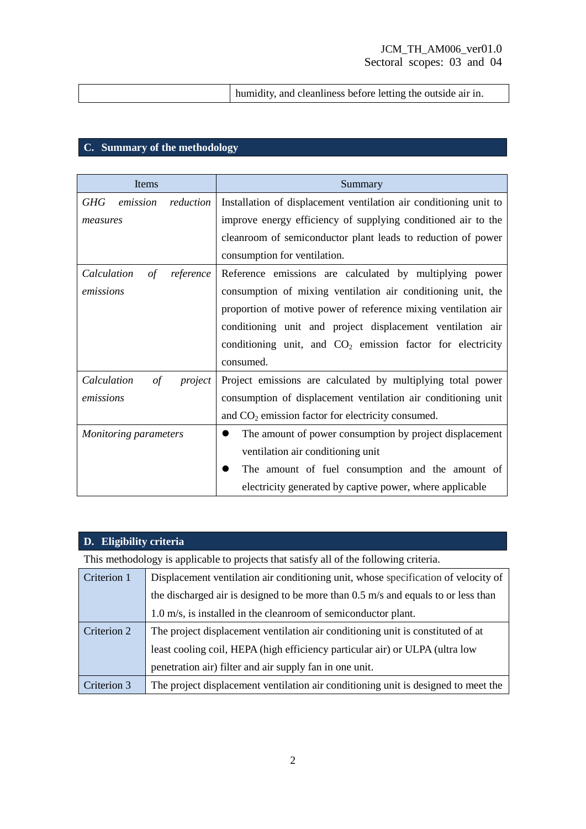|--|

## **C. Summary of the methodology**

| Items                                | Summary                                                           |  |
|--------------------------------------|-------------------------------------------------------------------|--|
| GHG<br>reduction<br>emission         | Installation of displacement ventilation air conditioning unit to |  |
| measures                             | improve energy efficiency of supplying conditioned air to the     |  |
|                                      | cleanroom of semiconductor plant leads to reduction of power      |  |
|                                      | consumption for ventilation.                                      |  |
| Calculation<br>reference<br>οf       | Reference emissions are calculated by multiplying power           |  |
| emissions                            | consumption of mixing ventilation air conditioning unit, the      |  |
|                                      | proportion of motive power of reference mixing ventilation air    |  |
|                                      | conditioning unit and project displacement ventilation air        |  |
|                                      | conditioning unit, and $CO2$ emission factor for electricity      |  |
|                                      | consumed.                                                         |  |
| Calculation<br>project<br>$\sigma f$ | Project emissions are calculated by multiplying total power       |  |
| emissions                            | consumption of displacement ventilation air conditioning unit     |  |
|                                      | and $CO2$ emission factor for electricity consumed.               |  |
| <b>Monitoring parameters</b>         | The amount of power consumption by project displacement           |  |
|                                      | ventilation air conditioning unit                                 |  |
|                                      | The amount of fuel consumption and the amount of                  |  |
|                                      | electricity generated by captive power, where applicable          |  |

# **D. Eligibility criteria**

This methodology is applicable to projects that satisfy all of the following criteria.

| Criterion 1 | Displacement ventilation air conditioning unit, whose specification of velocity of  |  |  |
|-------------|-------------------------------------------------------------------------------------|--|--|
|             | the discharged air is designed to be more than $0.5$ m/s and equals to or less than |  |  |
|             | 1.0 m/s, is installed in the cleanroom of semiconductor plant.                      |  |  |
| Criterion 2 | The project displacement ventilation air conditioning unit is constituted of at     |  |  |
|             | least cooling coil, HEPA (high efficiency particular air) or ULPA (ultra low        |  |  |
|             | penetration air) filter and air supply fan in one unit.                             |  |  |
| Criterion 3 | The project displacement ventilation air conditioning unit is designed to meet the  |  |  |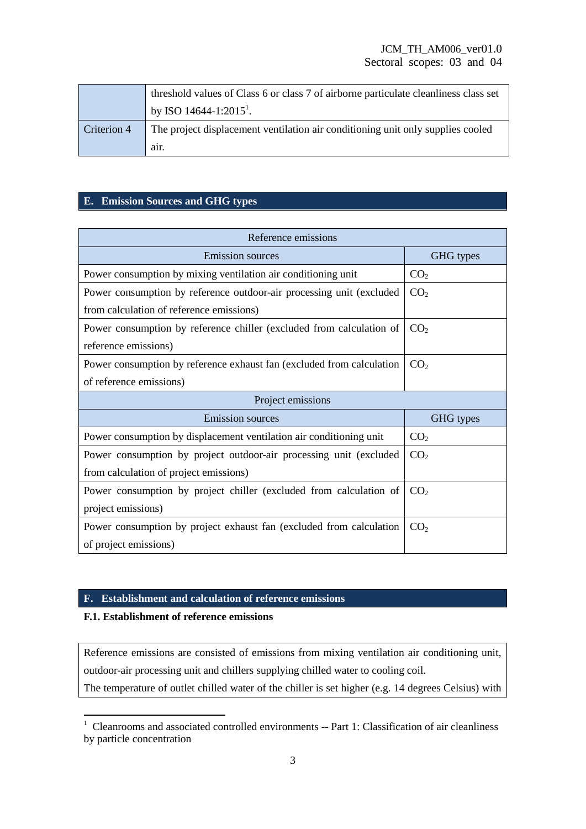|             | threshold values of Class 6 or class 7 of airborne particulate cleanliness class set |  |  |
|-------------|--------------------------------------------------------------------------------------|--|--|
|             | by ISO 14644-1:2015 <sup>1</sup> .                                                   |  |  |
| Criterion 4 | The project displacement ventilation air conditioning unit only supplies cooled      |  |  |
|             | air.                                                                                 |  |  |

### **E. Emission Sources and GHG types**

| Reference emissions                                                   |                 |  |  |
|-----------------------------------------------------------------------|-----------------|--|--|
| <b>Emission</b> sources                                               | GHG types       |  |  |
| Power consumption by mixing ventilation air conditioning unit         | CO <sub>2</sub> |  |  |
| Power consumption by reference outdoor-air processing unit (excluded  | CO <sub>2</sub> |  |  |
| from calculation of reference emissions)                              |                 |  |  |
| Power consumption by reference chiller (excluded from calculation of  | CO <sub>2</sub> |  |  |
| reference emissions)                                                  |                 |  |  |
| Power consumption by reference exhaust fan (excluded from calculation | CO <sub>2</sub> |  |  |
| of reference emissions)                                               |                 |  |  |
| Project emissions                                                     |                 |  |  |
|                                                                       |                 |  |  |
| <b>Emission</b> sources                                               | GHG types       |  |  |
| Power consumption by displacement ventilation air conditioning unit   | CO <sub>2</sub> |  |  |
| Power consumption by project outdoor-air processing unit (excluded    | CO <sub>2</sub> |  |  |
| from calculation of project emissions)                                |                 |  |  |
| Power consumption by project chiller (excluded from calculation of    | CO <sub>2</sub> |  |  |
| project emissions)                                                    |                 |  |  |
| Power consumption by project exhaust fan (excluded from calculation   | CO <sub>2</sub> |  |  |

## **F. Establishment and calculation of reference emissions**

### **F.1. Establishment of reference emissions**

Reference emissions are consisted of emissions from mixing ventilation air conditioning unit, outdoor-air processing unit and chillers supplying chilled water to cooling coil. The temperature of outlet chilled water of the chiller is set higher (e.g. 14 degrees Celsius) with

The Cleanrooms and associated controlled environments -- Part 1: Classification of air cleanliness by particle concentration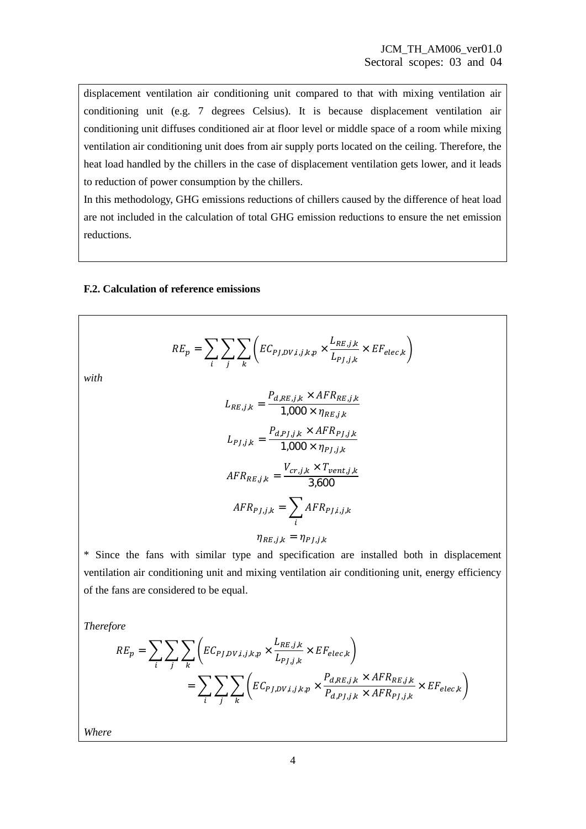displacement ventilation air conditioning unit compared to that with mixing ventilation air conditioning unit (e.g. 7 degrees Celsius). It is because displacement ventilation air conditioning unit diffuses conditioned air at floor level or middle space of a room while mixing ventilation air conditioning unit does from air supply ports located on the ceiling. Therefore, the heat load handled by the chillers in the case of displacement ventilation gets lower, and it leads to reduction of power consumption by the chillers.

In this methodology, GHG emissions reductions of chillers caused by the difference of heat load are not included in the calculation of total GHG emission reductions to ensure the net emission reductions.

#### **F.2. Calculation of reference emissions**

$$
RE_p = \sum_{i} \sum_{j} \sum_{k} \left( EC_{PJ, DV, i, j, k, p} \times \frac{L_{RE, j, k}}{L_{PJ, j, k}} \times EF_{elec, k} \right)
$$

*with* 

$$
L_{RE,j,k} = \frac{P_{d,RE,j,k} \times AFR_{RE,j,k}}{1,000 \times \eta_{RE,j,k}}
$$

$$
L_{PI,j,k} = \frac{P_{d,PJ,j,k} \times AFR_{PI,j,k}}{1,000 \times \eta_{PI,j,k}}
$$

$$
AFR_{RE,j,k} = \frac{V_{cr,j,k} \times T_{vent,j,k}}{3,600}
$$

$$
AFR_{PI,j,k} = \sum_{i} AFR_{PI,i,j,k}
$$

$$
\eta_{RE,j,k} = \eta_{PI,j,k}
$$

\* Since the fans with similar type and specification are installed both in displacement ventilation air conditioning unit and mixing ventilation air conditioning unit, energy efficiency of the fans are considered to be equal.

*Therefore* 

$$
RE_p = \sum_{i} \sum_{j} \sum_{k} \left( EC_{PJ,DV,i,j,k,p} \times \frac{L_{RE,j,k}}{L_{PJ,j,k}} \times EF_{elec,k} \right)
$$
  
= 
$$
\sum_{i} \sum_{j} \sum_{k} \left( EC_{PJ,DV,i,j,k,p} \times \frac{P_{d,RE,j,k} \times AFR_{RE,j,k}}{P_{d,PJ,j,k} \times AFR_{PJ,j,k}} \times EF_{elec,k} \right)
$$

*Where*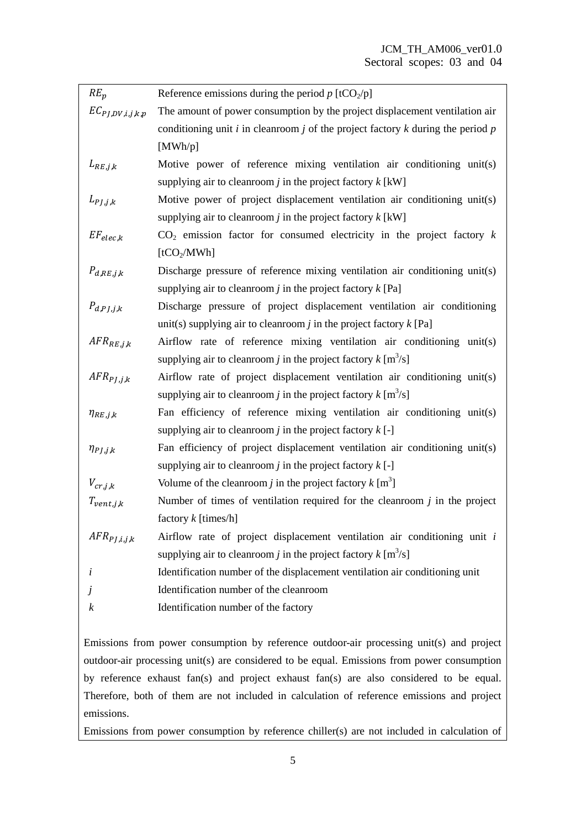| $RE_p$                     | Reference emissions during the period $p$ [tCO <sub>2</sub> /p]                         |  |  |
|----------------------------|-----------------------------------------------------------------------------------------|--|--|
| $EC_{PJ,DV,i,j,k,p}$       | The amount of power consumption by the project displacement ventilation air             |  |  |
|                            | conditioning unit $i$ in cleanroom $j$ of the project factory $k$ during the period $p$ |  |  |
|                            | [MWh/p]                                                                                 |  |  |
| $L_{RE, j,k}$              | Motive power of reference mixing ventilation air conditioning unit(s)                   |  |  |
|                            | supplying air to cleanroom <i>j</i> in the project factory $k$ [kW]                     |  |  |
| $L_{PI, i, k}$             | Motive power of project displacement ventilation air conditioning unit(s)               |  |  |
|                            | supplying air to clean oom <i>j</i> in the project factory $k$ [kW]                     |  |  |
| $EF_{elec,k}$              | $CO2$ emission factor for consumed electricity in the project factory k                 |  |  |
|                            | [tCO <sub>2</sub> /MWh]                                                                 |  |  |
| $P_{d,RE,j,k}$             | Discharge pressure of reference mixing ventilation air conditioning unit(s)             |  |  |
|                            | supplying air to clean oom <i>j</i> in the project factory $k$ [Pa]                     |  |  |
| $P_{d,P}$ <sub>J,j,k</sub> | Discharge pressure of project displacement ventilation air conditioning                 |  |  |
|                            | unit(s) supplying air to clean oom j in the project factory $k$ [Pa]                    |  |  |
| $AFR_{RE, j,k}$            | Airflow rate of reference mixing ventilation air conditioning unit(s)                   |  |  |
|                            | supplying air to clean oom j in the project factory $k \,[\text{m}^3/\text{s}]$         |  |  |
| $AFR_{PI, j, k}$           | Airflow rate of project displacement ventilation air conditioning unit(s)               |  |  |
|                            | supplying air to clean oom j in the project factory $k \,[\text{m}^3/\text{s}]$         |  |  |
| $\eta_{RE,j,k}$            | Fan efficiency of reference mixing ventilation air conditioning unit(s)                 |  |  |
|                            | supplying air to clean oom <i>j</i> in the project factory $k$ [-]                      |  |  |
| $\eta_{PJ,j,k}$            | Fan efficiency of project displacement ventilation air conditioning unit(s)             |  |  |
|                            | supplying air to clean oom <i>j</i> in the project factory $k$ [-]                      |  |  |
| $V_{cr,j,k}$               | Volume of the cleanroom <i>j</i> in the project factory $k \,[\text{m}^3]$              |  |  |
| $T_{vent,j,k}$             | Number of times of ventilation required for the cleanroom $j$ in the project            |  |  |
|                            | factory $k$ [times/h]                                                                   |  |  |
| $AFR_{PI,i,j,k}$           | Airflow rate of project displacement ventilation air conditioning unit $i$              |  |  |
|                            | supplying air to cleanroom <i>j</i> in the project factory $k \, [\text{m}^3/\text{s}]$ |  |  |
| i                          | Identification number of the displacement ventilation air conditioning unit             |  |  |
| $\overline{J}$             | Identification number of the cleanroom                                                  |  |  |
| $\boldsymbol{k}$           | Identification number of the factory                                                    |  |  |

Emissions from power consumption by reference outdoor-air processing unit(s) and project outdoor-air processing unit(s) are considered to be equal. Emissions from power consumption by reference exhaust fan(s) and project exhaust fan(s) are also considered to be equal. Therefore, both of them are not included in calculation of reference emissions and project emissions.

Emissions from power consumption by reference chiller(s) are not included in calculation of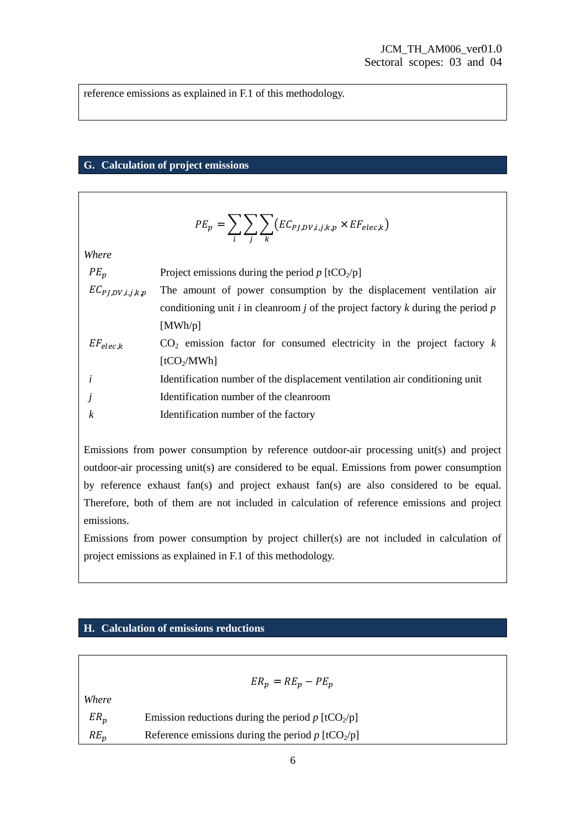reference emissions as explained in F.1 of this methodology.

#### **G. Calculation of project emissions**

$$
PE_p = \sum_i \sum_j \sum_k \big(EC_{PJ,DV,i,j,k,p} \times EF_{elec,k}\big)
$$

*Where* 

| $PE_n$               | Project emissions during the period $p$ [tCO <sub>2</sub> /p]                           |  |  |
|----------------------|-----------------------------------------------------------------------------------------|--|--|
| $EC_{PI,DV,i,j,k,p}$ | The amount of power consumption by the displacement ventilation air                     |  |  |
|                      | conditioning unit $i$ in cleanroom $j$ of the project factory $k$ during the period $p$ |  |  |
|                      | [MWh/p]                                                                                 |  |  |
| $EF_{elec.k}$        | $CO2$ emission factor for consumed electricity in the project factory k                 |  |  |
|                      | [tCO <sub>2</sub> /MWh]                                                                 |  |  |
| $\boldsymbol{i}$     | Identification number of the displacement ventilation air conditioning unit             |  |  |
| $\dot{J}$            | Identification number of the cleanroom                                                  |  |  |
| $\boldsymbol{k}$     | Identification number of the factory                                                    |  |  |

Emissions from power consumption by reference outdoor-air processing unit(s) and project outdoor-air processing unit(s) are considered to be equal. Emissions from power consumption by reference exhaust fan(s) and project exhaust fan(s) are also considered to be equal. Therefore, both of them are not included in calculation of reference emissions and project emissions.

Emissions from power consumption by project chiller(s) are not included in calculation of project emissions as explained in F.1 of this methodology.

#### **H. Calculation of emissions reductions**

|        | $ER_p = RE_p - PE_p$                                            |
|--------|-----------------------------------------------------------------|
| Where  |                                                                 |
| $ER_p$ | Emission reductions during the period $p$ [tCO <sub>2</sub> /p] |
| $RE_p$ | Reference emissions during the period $p$ [tCO <sub>2</sub> /p] |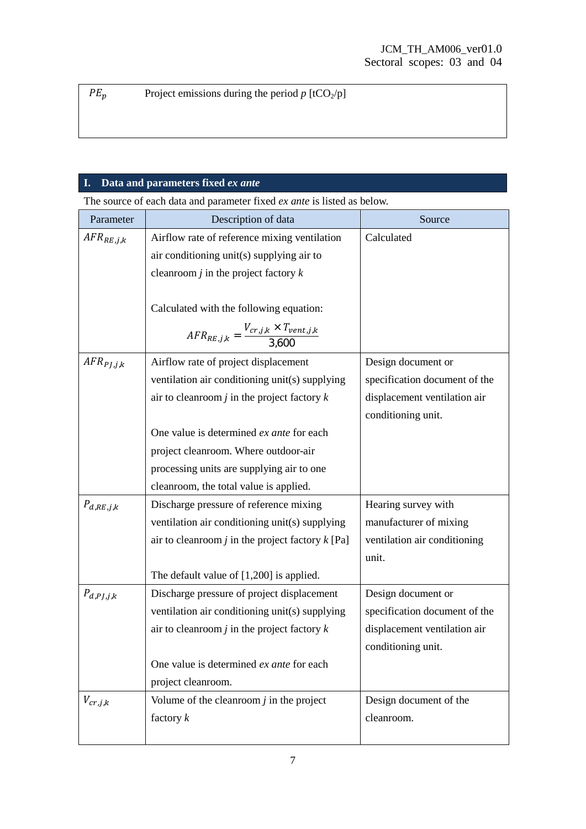$PE_p$  Project emissions during the period *p* [tCO<sub>2</sub>/p]

## **I. Data and parameters fixed** *ex ante*

The source of each data and parameter fixed *ex ante* is listed as below.

| Parameter      | Description of data                                                                    | Source                        |
|----------------|----------------------------------------------------------------------------------------|-------------------------------|
| $AFR_{RE,j,k}$ | Airflow rate of reference mixing ventilation                                           | Calculated                    |
|                | air conditioning unit(s) supplying air to                                              |                               |
|                | cleanroom $j$ in the project factory $k$                                               |                               |
|                |                                                                                        |                               |
|                | Calculated with the following equation:                                                |                               |
|                | $\label{eq:AFRR} \textit{AFR}_{RE,j,k} = \frac{V_{cr,j,k} \times T_{vent,j,k}}{3.600}$ |                               |
| $AFR_{PI,j,k}$ | Airflow rate of project displacement                                                   | Design document or            |
|                | ventilation air conditioning unit(s) supplying                                         | specification document of the |
|                | air to clean room $j$ in the project factory $k$                                       | displacement ventilation air  |
|                |                                                                                        | conditioning unit.            |
|                | One value is determined ex ante for each                                               |                               |
|                | project cleanroom. Where outdoor-air                                                   |                               |
|                | processing units are supplying air to one                                              |                               |
|                | cleanroom, the total value is applied.                                                 |                               |
| $P_{d,RE,j,k}$ | Discharge pressure of reference mixing                                                 | Hearing survey with           |
|                | ventilation air conditioning unit(s) supplying                                         | manufacturer of mixing        |
|                | air to cleanroom $j$ in the project factory $k$ [Pa]                                   | ventilation air conditioning  |
|                |                                                                                        | unit.                         |
|                | The default value of $[1,200]$ is applied.                                             |                               |
| $P_{d,PJ,j,k}$ | Discharge pressure of project displacement                                             | Design document or            |
|                | ventilation air conditioning unit(s) supplying                                         | specification document of the |
|                | air to clean room $j$ in the project factory $k$                                       | displacement ventilation air  |
|                |                                                                                        | conditioning unit.            |
|                | One value is determined ex ante for each                                               |                               |
|                | project cleanroom.                                                                     |                               |
| $V_{cr,j,k}$   | Volume of the cleanroom $j$ in the project                                             | Design document of the        |
|                | factory $k$                                                                            | cleanroom.                    |
|                |                                                                                        |                               |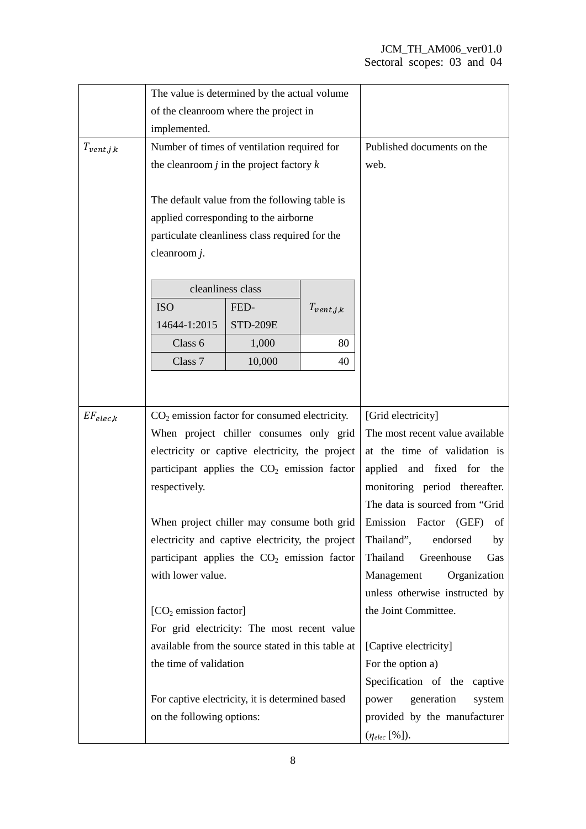|                | The value is determined by the actual volume                                                                                                                                                                                          |                   |                |                                 |
|----------------|---------------------------------------------------------------------------------------------------------------------------------------------------------------------------------------------------------------------------------------|-------------------|----------------|---------------------------------|
|                | of the cleanroom where the project in                                                                                                                                                                                                 |                   |                |                                 |
|                | implemented.                                                                                                                                                                                                                          |                   |                |                                 |
| $T_{vent,j,k}$ | Number of times of ventilation required for                                                                                                                                                                                           |                   |                | Published documents on the      |
|                | the cleanroom $j$ in the project factory $k$                                                                                                                                                                                          |                   |                | web.                            |
|                |                                                                                                                                                                                                                                       |                   |                |                                 |
|                | The default value from the following table is                                                                                                                                                                                         |                   |                |                                 |
|                | applied corresponding to the airborne                                                                                                                                                                                                 |                   |                |                                 |
|                | particulate cleanliness class required for the                                                                                                                                                                                        |                   |                |                                 |
|                | cleanroom $j$ .                                                                                                                                                                                                                       |                   |                |                                 |
|                |                                                                                                                                                                                                                                       |                   |                |                                 |
|                |                                                                                                                                                                                                                                       | cleanliness class |                |                                 |
|                | <b>ISO</b>                                                                                                                                                                                                                            | FED-              | $T_{vent,j,k}$ |                                 |
|                | 14644-1:2015                                                                                                                                                                                                                          | <b>STD-209E</b>   |                |                                 |
|                | Class 6                                                                                                                                                                                                                               | 1,000             | 80             |                                 |
|                | Class 7                                                                                                                                                                                                                               | 10,000            | 40             |                                 |
|                |                                                                                                                                                                                                                                       |                   |                |                                 |
|                |                                                                                                                                                                                                                                       |                   |                |                                 |
| $EF_{elec,k}$  | $CO2$ emission factor for consumed electricity.                                                                                                                                                                                       |                   |                | [Grid electricity]              |
|                | When project chiller consumes only grid                                                                                                                                                                                               |                   |                | The most recent value available |
|                | electricity or captive electricity, the project                                                                                                                                                                                       |                   |                | at the time of validation is    |
|                | participant applies the $CO2$ emission factor                                                                                                                                                                                         |                   |                | applied and fixed for the       |
|                | respectively.                                                                                                                                                                                                                         |                   |                | monitoring period thereafter.   |
|                |                                                                                                                                                                                                                                       |                   |                | The data is sourced from "Grid" |
|                | When project chiller may consume both grid                                                                                                                                                                                            |                   |                | Emission Factor (GEF)<br>of     |
|                | electricity and captive electricity, the project                                                                                                                                                                                      |                   |                | Thailand",<br>endorsed<br>by    |
|                | participant applies the $CO2$ emission factor                                                                                                                                                                                         |                   |                | Thailand<br>Greenhouse<br>Gas   |
|                | with lower value.                                                                                                                                                                                                                     |                   |                | Organization<br>Management      |
|                |                                                                                                                                                                                                                                       |                   |                | unless otherwise instructed by  |
|                | $[CO2$ emission factor]<br>For grid electricity: The most recent value<br>available from the source stated in this table at<br>the time of validation<br>For captive electricity, it is determined based<br>on the following options: |                   |                | the Joint Committee.            |
|                |                                                                                                                                                                                                                                       |                   |                |                                 |
|                |                                                                                                                                                                                                                                       |                   |                | [Captive electricity]           |
|                |                                                                                                                                                                                                                                       |                   |                | For the option a)               |
|                |                                                                                                                                                                                                                                       |                   |                | Specification of the captive    |
|                |                                                                                                                                                                                                                                       |                   |                | power<br>generation<br>system   |
|                |                                                                                                                                                                                                                                       |                   |                | provided by the manufacturer    |
|                |                                                                                                                                                                                                                                       |                   |                | $(\eta_{elec} [\%]).$           |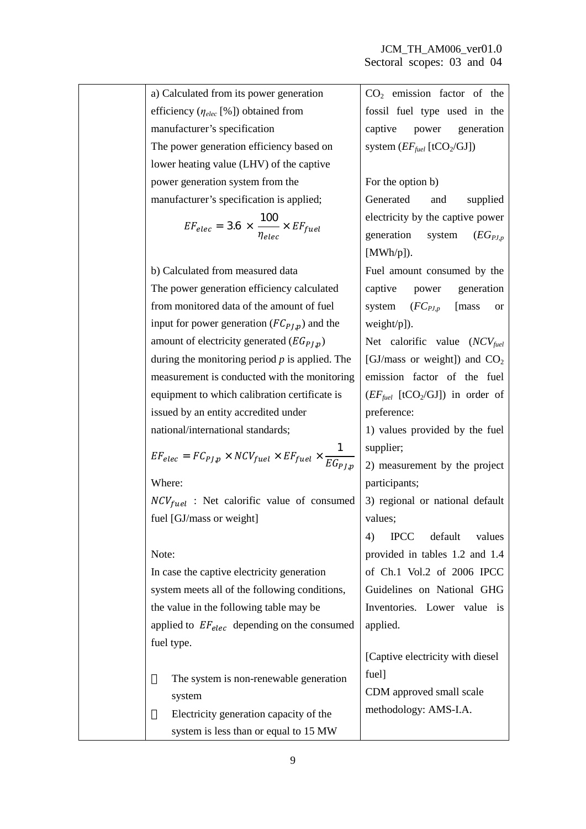| a) Calculated from its power generation                                               | $CO2$ emission factor of the                            |
|---------------------------------------------------------------------------------------|---------------------------------------------------------|
| efficiency $(\eta_{elec} [\%])$ obtained from                                         | fossil fuel type used in the                            |
| manufacturer's specification                                                          | captive power generation                                |
| The power generation efficiency based on                                              | system $(EF_{\text{fuel}}$ [tCO <sub>2</sub> /GJ])      |
| lower heating value (LHV) of the captive                                              |                                                         |
| power generation system from the                                                      | For the option b)                                       |
| manufacturer's specification is applied;                                              | Generated<br>and<br>supplied                            |
|                                                                                       | electricity by the captive power                        |
| $EF_{elec} = 3.6 \, \times \, \frac{100}{\eta_{elec}} \times EF_{fuel}$               | generation system $(EG_{PJ,p})$                         |
|                                                                                       | [MWh/p].                                                |
| b) Calculated from measured data                                                      | Fuel amount consumed by the                             |
| The power generation efficiency calculated                                            | captive power generation                                |
| from monitored data of the amount of fuel                                             | system $(FC_{PJ,p}$ [mass]<br><b>or</b>                 |
| input for power generation $(FC_{PJ,p})$ and the                                      | weight/p]).                                             |
| amount of electricity generated $(EG_{PL,p})$                                         | Net calorific value $(NCV_{fuel})$                      |
| during the monitoring period $p$ is applied. The                                      | [GJ/mass or weight]) and $CO2$                          |
| measurement is conducted with the monitoring                                          | emission factor of the fuel                             |
| equipment to which calibration certificate is                                         | $(EF_{\text{fuel}}$ [tCO <sub>2</sub> /GJ]) in order of |
| issued by an entity accredited under                                                  | preference:                                             |
| national/international standards;                                                     | 1) values provided by the fuel                          |
| $EF_{elec} = FC_{PJ,p} \times NCV_{fuel} \times EF_{fuel} \times \frac{1}{EG_{PJ,p}}$ | supplier;                                               |
|                                                                                       | 2) measurement by the project                           |
| Where:                                                                                | participants;                                           |
| $NCV_{fuel}$ : Net calorific value of consumed                                        | 3) regional or national default                         |
| fuel [GJ/mass or weight]                                                              | values;                                                 |
|                                                                                       | default<br>4)<br><b>IPCC</b><br>values                  |
| Note:                                                                                 | provided in tables 1.2 and 1.4                          |
| In case the captive electricity generation                                            | of Ch.1 Vol.2 of 2006 IPCC                              |
| system meets all of the following conditions,                                         | Guidelines on National GHG                              |
| the value in the following table may be                                               | Inventories. Lower value is                             |
| applied to $EF_{elec}$ depending on the consumed                                      | applied.                                                |
| fuel type.                                                                            |                                                         |
|                                                                                       | [Captive electricity with diesel                        |
| The system is non-renewable generation                                                | fuel]                                                   |
| system                                                                                | CDM approved small scale                                |
| Electricity generation capacity of the                                                | methodology: AMS-I.A.                                   |
| system is less than or equal to 15 MW                                                 |                                                         |